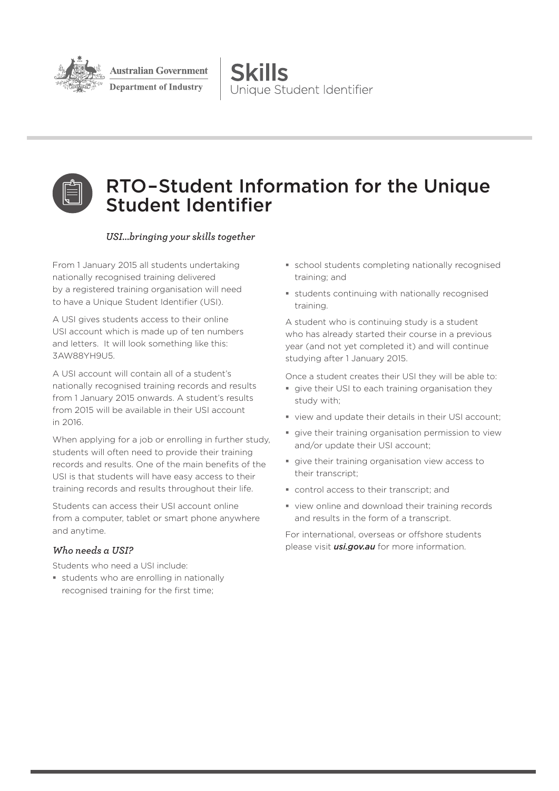

sustralian Government

**Department of Industry** 

**Skills** Unique Student Identifier



# RTO–Student Information for the Unique Student Identifier

### *USI...bringing your skills together*

From 1 January 2015 all students undertaking nationally recognised training delivered by a registered training organisation will need to have a Unique Student Identifier (USI).

A USI gives students access to their online USI account which is made up of ten numbers and letters. It will look something like this: 3AW88YH9U5.

A USI account will contain all of a student's nationally recognised training records and results from 1 January 2015 onwards. A student's results from 2015 will be available in their USI account in 2016.

When applying for a job or enrolling in further study, students will often need to provide their training records and results. One of the main benefits of the USI is that students will have easy access to their training records and results throughout their life.

Students can access their USI account online from a computer, tablet or smart phone anywhere and anytime.

# *Who needs a USI?*

Students who need a USI include:

**students who are enrolling in nationally** recognised training for the first time;

- school students completing nationally recognised training; and
- students continuing with nationally recognised training.

A student who is continuing study is a student who has already started their course in a previous year (and not yet completed it) and will continue studying after 1 January 2015.

Once a student creates their USI they will be able to:

- **give their USI to each training organisation they** study with;
- view and update their details in their USI account;
- give their training organisation permission to view and/or update their USI account;
- qive their training organisation view access to their transcript;
- control access to their transcript; and
- view online and download their training records and results in the form of a transcript.

For international, overseas or offshore students please visit *usi.gov.au* for more information.